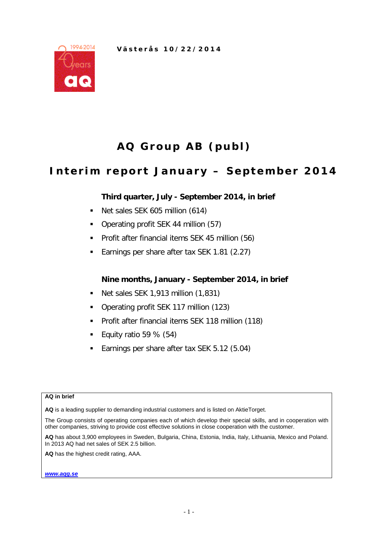

# **AQ Group AB (publ)**

## **Interim report January – S eptember 2014**

## **Third quarter, July - September 2014, in brief**

- Net sales SEK 605 million (614)
- Operating profit SEK 44 million (57)
- **Profit after financial items SEK 45 million (56)**
- Earnings per share after tax SEK 1.81 (2.27)

## **Nine months, January - September 2014, in brief**

- Net sales SEK 1,913 million (1,831)
- Operating profit SEK 117 million (123)
- **Profit after financial items SEK 118 million (118)**
- Equity ratio 59 % (54)
- **Earnings per share after tax SEK 5.12 (5.04)**

#### **AQ in brief**

**AQ** is a leading supplier to demanding industrial customers and is listed on AktieTorget.

The Group consists of operating companies each of which develop their special skills, and in cooperation with other companies, striving to provide cost effective solutions in close cooperation with the customer.

**AQ** has about 3,900 employees in Sweden, Bulgaria, China, Estonia, India, Italy, Lithuania, Mexico and Poland. In 2013 AQ had net sales of SEK 2.5 billion.

**AQ** has the highest credit rating, AAA.

*[www.aqg.se](http://www.aqg.se/)*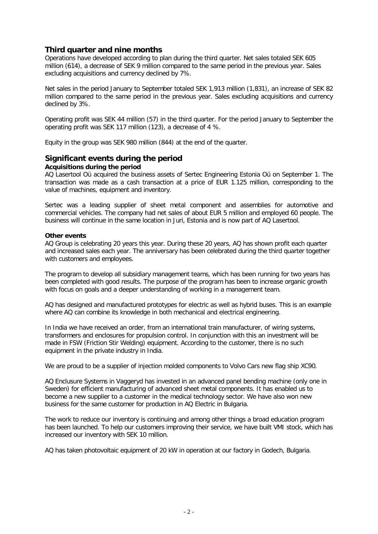## **Third quarter and nine months**

Operations have developed according to plan during the third quarter. Net sales totaled SEK 605 million (614), a decrease of SEK 9 million compared to the same period in the previous year. Sales excluding acquisitions and currency declined by 7%.

Net sales in the period January to September totaled SEK 1,913 million (1,831), an increase of SEK 82 million compared to the same period in the previous year. Sales excluding acquisitions and currency declined by 3%.

Operating profit was SEK 44 million (57) in the third quarter. For the period January to September the operating profit was SEK 117 million (123), a decrease of 4 %.

Equity in the group was SEK 980 million (844) at the end of the quarter.

## **Significant events during the period**

### **Acquisitions during the period**

AQ Lasertool Oü acquired the business assets of Sertec Engineering Estonia Oü on September 1. The transaction was made as a cash transaction at a price of EUR 1.125 million, corresponding to the value of machines, equipment and inventory.

Sertec was a leading supplier of sheet metal component and assemblies for automotive and commercial vehicles. The company had net sales of about EUR 5 million and employed 60 people. The business will continue in the same location in Juri, Estonia and is now part of AQ Lasertool.

#### **Other events**

AQ Group is celebrating 20 years this year. During these 20 years, AQ has shown profit each quarter and increased sales each year. The anniversary has been celebrated during the third quarter together with customers and employees.

The program to develop all subsidiary management teams, which has been running for two years has been completed with good results. The purpose of the program has been to increase organic growth with focus on goals and a deeper understanding of working in a management team.

AQ has designed and manufactured prototypes for electric as well as hybrid buses. This is an example where AQ can combine its knowledge in both mechanical and electrical engineering.

In India we have received an order, from an international train manufacturer, of wiring systems, transformers and enclosures for propulsion control. In conjunction with this an investment will be made in FSW (Friction Stir Welding) equipment. According to the customer, there is no such equipment in the private industry in India.

We are proud to be a supplier of injection molded components to Volvo Cars new flag ship XC90.

AQ Enclusure Systems in Vaggeryd has invested in an advanced panel bending machine (only one in Sweden) for efficient manufacturing of advanced sheet metal components. It has enabled us to become a new supplier to a customer in the medical technology sector. We have also won new business for the same customer for production in AQ Electric in Bulgaria.

The work to reduce our inventory is continuing and among other things a broad education program has been launched. To help our customers improving their service, we have built VMI stock, which has increased our inventory with SEK 10 million.

AQ has taken photovoltaic equipment of 20 kW in operation at our factory in Godech, Bulgaria.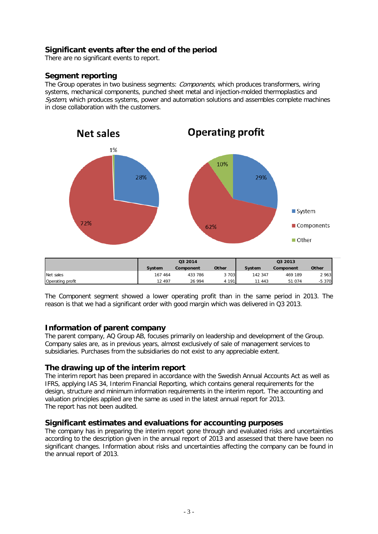## **Significant events after the end of the period**

There are no significant events to report.

## **Segment reporting**

The Group operates in two business segments: Components, which produces transformers, wiring systems, mechanical components, punched sheet metal and injection-molded thermoplastics and System, which produces systems, power and automation solutions and assembles complete machines in close collaboration with the customers.



The Component segment showed a lower operating profit than in the same period in 2013. The reason is that we had a significant order with good margin which was delivered in Q3 2013.

#### **Information of parent company**

The parent company, AQ Group AB, focuses primarily on leadership and development of the Group. Company sales are, as in previous years, almost exclusively of sale of management services to subsidiaries. Purchases from the subsidiaries do not exist to any appreciable extent.

#### **The drawing up of the interim report**

The interim report has been prepared in accordance with the Swedish Annual Accounts Act as well as IFRS, applying IAS 34, Interim Financial Reporting, which contains general requirements for the design, structure and minimum information requirements in the interim report. The accounting and valuation principles applied are the same as used in the latest annual report for 2013. The report has not been audited.

#### **Significant estimates and evaluations for accounting purposes**

The company has in preparing the interim report gone through and evaluated risks and uncertainties according to the description given in the annual report of 2013 and assessed that there have been no significant changes. Information about risks and uncertainties affecting the company can be found in the annual report of 2013.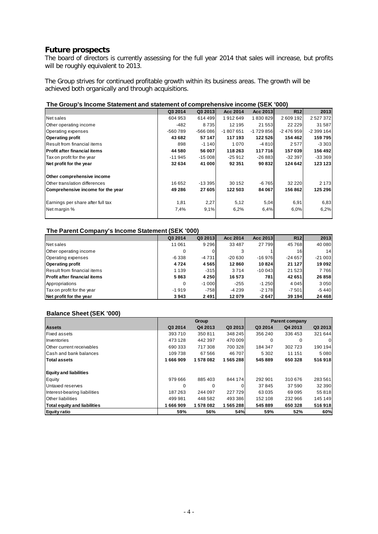## **Future prospects**

The board of directors is currently assessing for the full year 2014 that sales will increase, but profits will be roughly equivalent to 2013.

The Group strives for continued profitable growth within its business areas. The growth will be achieved both organically and through acquisitions.

#### **The Group's Income Statement and statement of comprehensive income (SEK '000)**

|                                   | Q3 2014  | Q3 2013   | Acc 2014   | Acc 2013   | R <sub>12</sub> | 2013       |
|-----------------------------------|----------|-----------|------------|------------|-----------------|------------|
| Net sales                         | 604 953  | 614 499   | 1912649    | 1830829    | 2609192         | 2527372    |
| Other operating income            | -482     | 8735      | 12 195     | 21 553     | 22 2 2 9        | 31 587     |
| Operating expenses                | -560 789 | $-566086$ | $-1807651$ | $-1729856$ | $-2476959$      | $-2399164$ |
| <b>Operating profit</b>           | 43 682   | 57 147    | 117 193    | 122 526    | 154 462         | 159795     |
| Result from financial items       | 898      | $-1140$   | 1 0 7 0    | $-4810$    | 2577            | $-3303$    |
| lProfit after financial items     | 44 580   | 56 007    | 118 263    | 117 716    | 157039          | 156 492    |
| Tax on profit for the year        | $-11945$ | $-15008$  | $-25912$   | $-26883$   | $-32397$        | $-333369$  |
| Net profit for the year           | 32 634   | 41 000    | 92 351     | 90 832     | 124 642         | 123 123    |
| Other comprehensive income        |          |           |            |            |                 |            |
| Other translation differences     | 16 652   | $-13395$  | 30 152     | $-6765$    | 32 2 2 0        | 2 1 7 3    |
| Comprehensive income for the year | 49 286   | 27 605    | 122 503    | 84 067     | 156862          | 125 296    |
| Earnings per share after full tax | 1,81     | 2,27      | 5,12       | 5,04       | 6,91            | 6,83       |
| Net margin %                      | 7,4%     | 9,1%      | 6,2%       | 6,4%       | 6.0%            | 6,2%       |
|                                   |          |           |            |            |                 |            |

#### **The Parent Company's Income Statement (SEK '000)**

|                               | Q3 2014 | Q3 2013 | Acc 2014 | Acc 2013 | R12      | 2013     |
|-------------------------------|---------|---------|----------|----------|----------|----------|
| Net sales                     | 11 061  | 9 2 9 6 | 33 487   | 27 799   | 45 7 68  | 40 080   |
| Other operating income        | 0       |         |          |          | 16       | 14       |
| Operating expenses            | $-6338$ | $-4731$ | $-20630$ | $-16976$ | $-24657$ | $-21003$ |
| <b>Operating profit</b>       | 4724    | 4565    | 12860    | 10824    | 21 1 27  | 19 092   |
| Result from financial items   | 1 1 3 9 | $-315$  | 3714     | $-10043$ | 21 5 23  | 7766     |
| lProfit after financial items | 5863    | 4 2 5 0 | 16 573   | 781      | 42 651   | 26 858   |
| Appropriations                | 0       | $-1000$ | $-255$   | $-1250$  | 4 0 4 5  | 3 0 5 0  |
| Tax on profit for the year    | $-1919$ | $-758$  | -4 239   | $-2178$  | $-7501$  | $-5440$  |
| Net profit for the year       | 3943    | 2491    | 12079    | $-2647$  | 39 194   | 24 4 68  |

#### **Balance Sheet (SEK '000)**

|                               |          | Group    |         | <b>Parent company</b> |         |                |  |
|-------------------------------|----------|----------|---------|-----------------------|---------|----------------|--|
| <b>Assets</b>                 | Q3 2014  | Q4 2013  | Q3 2013 | Q3 2014               | Q4 2013 | Q3 2013        |  |
| <b>Fixed assets</b>           | 393710   | 350 811  | 348 245 | 356 240               | 336 453 | 321 644        |  |
| Inventories                   | 473 128  | 442 397  | 470 009 |                       | 0       | $\overline{0}$ |  |
| Other current receivables     | 690 333  | 717308   | 700 328 | 184 347               | 302 723 | 190 194        |  |
| <b>Cash and bank balances</b> | 109738   | 67 566   | 46 707  | 5 3 0 2               | 11 151  | 5 0 8 0        |  |
| <b>Total assets</b>           | 1666909  | 1578082  | 1565288 | 545889                | 650 328 | 516918         |  |
| <b>Equity and liabilities</b> |          |          |         |                       |         |                |  |
| Equity                        | 979 666  | 885403   | 844 174 | 292 901               | 310 676 | 283 561        |  |
| Untaxed reserves              | $\Omega$ | $\Omega$ |         | 37845                 | 37 590  | 32 390         |  |
| Interest-bearing liabilities  | 187 263  | 244 097  | 227 729 | 63 035                | 69 095  | 55 818         |  |
| <b>Other liabilities</b>      | 499 981  | 448 582  | 493 386 | 152 108               | 232 966 | 145 149        |  |
| Total equity and liabilities  | 1666909  | 1578082  | 1565288 | 545 889               | 650 328 | 516918         |  |
| <b>Equity ratio</b>           | 59%      | 56%      | 54%     | 59%                   | 52%     | 60%            |  |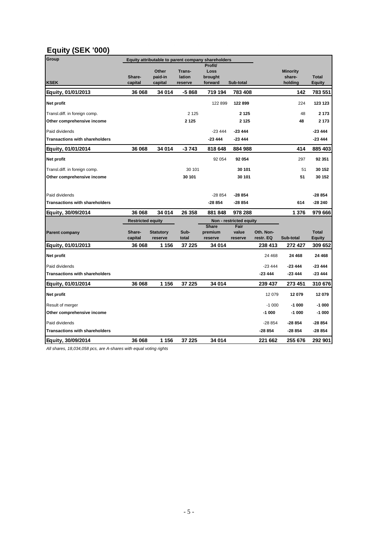## **Equity (SEK '000)**

| Group                                 |                          | Equity attributable to parent company shareholders |                             |                                       |                          |                        |                                      |                               |
|---------------------------------------|--------------------------|----------------------------------------------------|-----------------------------|---------------------------------------|--------------------------|------------------------|--------------------------------------|-------------------------------|
| <b>KSEK</b>                           | Share-<br>capital        | Other<br>paid-in<br>capital                        | Trans-<br>lation<br>reserve | Profit/<br>Loss<br>brought<br>forward | Sub-total                |                        | <b>Minority</b><br>share-<br>holding | <b>Total</b><br><b>Equity</b> |
| Equity, 01/01/2013                    | 36 068                   | 34 014                                             | -5868                       | 719 194                               | 783 408                  |                        | 142                                  | 783 551                       |
| Net profit                            |                          |                                                    |                             | 122 899                               | 122 899                  |                        | 224                                  | 123 123                       |
| Transl.diff. in foreign comp.         |                          |                                                    | 2 1 2 5                     |                                       | 2 1 2 5                  |                        | 48                                   | 2 1 7 3                       |
| Other comprehensive income            |                          |                                                    | 2 1 2 5                     |                                       | 2 1 2 5                  |                        | 48                                   | 2 1 7 3                       |
| Paid dividends                        |                          |                                                    |                             | $-23444$                              | $-23444$                 |                        |                                      | $-23444$                      |
| <b>Transactions with shareholders</b> |                          |                                                    |                             | $-23444$                              | $-23444$                 |                        |                                      | $-23444$                      |
| Equity, 01/01/2014                    | 36 068                   | 34 014                                             | $-3743$                     | 818 648                               | 884 988                  |                        | 414                                  | 885 403                       |
| Net profit                            |                          |                                                    |                             | 92 054                                | 92 054                   |                        | 297                                  | 92 351                        |
| Transl.diff. in foreign comp.         |                          |                                                    | 30 101                      |                                       | 30 101                   |                        | 51                                   | 30 152                        |
| Other comprehensive income            |                          |                                                    | 30 101                      |                                       | 30 101                   |                        | 51                                   | 30 152                        |
|                                       |                          |                                                    |                             |                                       |                          |                        |                                      |                               |
| Paid dividends                        |                          |                                                    |                             | $-28854$                              | $-28854$                 |                        |                                      | $-28854$                      |
| <b>Transactions with shareholders</b> |                          |                                                    |                             | $-28854$                              | $-28854$                 |                        | 614                                  | $-28240$                      |
| Equity, 30/09/2014                    | 36 068                   | 34 014                                             | 26 358                      | 881 848                               | 978 288                  |                        | 1 3 7 6                              | 979 666                       |
|                                       | <b>Restricted equity</b> |                                                    |                             |                                       | Non - restricted equity  |                        |                                      |                               |
| <b>Parent company</b>                 | Share-<br>capital        | <b>Statutory</b><br>reserve                        | Sub-<br>total               | <b>Share</b><br>premium<br>reserve    | Fair<br>value<br>reserve | Oth. Non-<br>restr. EQ | Sub-total                            | <b>Total</b><br><b>Equity</b> |
| Equity, 01/01/2013                    | 36 068                   | 1 156                                              | 37 225                      | 34 014                                |                          | 238 413                | 272 427                              | 309 652                       |
| Net profit                            |                          |                                                    |                             |                                       |                          | 24 4 68                | 24 4 68                              | 24 4 68                       |
| Paid dividends                        |                          |                                                    |                             |                                       |                          | $-23444$               | $-23444$                             | $-23444$                      |
| <b>Transactions with shareholders</b> |                          |                                                    |                             |                                       |                          | $-23444$               | -23 444                              | $-23444$                      |
| Equity, 01/01/2014                    | 36 068                   | 1 1 5 6                                            | 37 225                      | 34 014                                |                          | 239 437                | 273 451                              | 310 676                       |
| Net profit                            |                          |                                                    |                             |                                       |                          | 12 0 79                | 12079                                | 12 079                        |
| Result of merger                      |                          |                                                    |                             |                                       |                          | $-1000$                | $-1000$                              | $-1000$                       |
| Other comprehensive income            |                          |                                                    |                             |                                       |                          | $-1000$                | $-1000$                              | $-1000$                       |
| Paid dividends                        |                          |                                                    |                             |                                       |                          | $-28854$               | $-28854$                             | $-28854$                      |
| <b>Transactions with shareholders</b> |                          |                                                    |                             |                                       |                          | $-28854$               | -28 854                              | $-28854$                      |
| Equity, 30/09/2014                    | 36 068                   | 1 1 5 6                                            | 37 225                      | 34 014                                |                          | 221 662                | 255 676                              | 292 901                       |

*All shares, 18,034,058 pcs, are A-shares with equal voting rights*